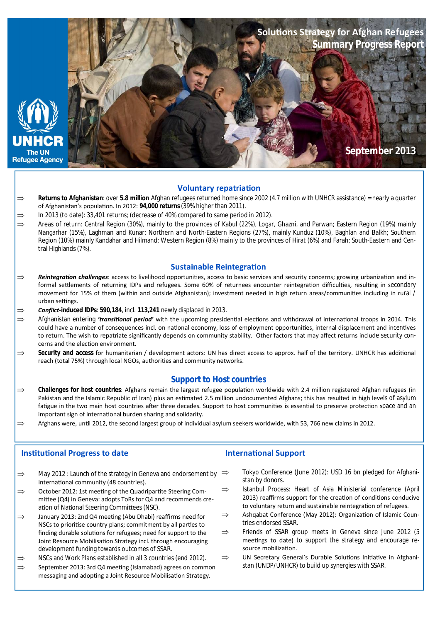

## **Voluntary repatriaƟon**

- *Returns to Afghanistan*: over **5.8 million** Afghan refugees returned home since 2002 (4.7 million with UNHCR assistance) = nearly a quarter of Afghanistan's population. In 2012: **94,000 returns** (39% higher than 2011).
- In 2013 (to date): 33,401 returns; (decrease of 40% compared to same period in 2012).
- $\Rightarrow$  Areas of return: Central Region (30%), mainly to the provinces of Kabul (22%), Logar, Ghazni, and Parwan: Eastern Region (19%) mainly Nangarhar (15%), Laghman and Kunar; Northern and North-Eastern Regions (27%), mainly Kunduz (10%), Baghlan and Balkh; Southern Region (10%) mainly Kandahar and Hilmand; Western Region (8%) mainly to the provinces of Hirat (6%) and Farah; South-Eastern and Central Highlands (7%).

### **Sustainable Reintegration**

- ⇒ **Reintegration challenges**: access to livelihood opportunities, access to basic services and security concerns; growing urbanization and informal settlements of returning IDPs and refugees. Some 60% of returnees encounter reintegration difficulties, resulting in secondary movement for 15% of them (within and outside Afghanistan); investment needed in high return areas/communities including in rural / urban settings.
- *Conflict-induced IDPs*: **590,184**, incl. **113,241** newly displaced in 2013.
- ⇒ Afghanistan entering *'transitional period'* with the upcoming presidential elections and withdrawal of international troops in 2014. This could have a number of consequences incl. on national economy, loss of employment opportunities, internal displacement and incentives to return. The wish to repatriate significantly depends on community stability. Other factors that may affect returns include security concerns and the election environment.
- ⇒ Security and access for humanitarian / development actors: UN has direct access to approx. half of the territory. UNHCR has additional reach (total 75%) through local NGOs, authorities and community networks.

## **Support to Host countries**

- $\Rightarrow$  **Challenges for host countries**: Afghans remain the largest refugee population worldwide with 2.4 million registered Afghan refugees (in Pakistan and the Islamic Republic of Iran) plus an estimated 2.5 million undocumented Afghans; this has resulted in high levels of asylum fatigue in the two main host countries after three decades. Support to host communities is essential to preserve protection space and an important sign of international burden sharing and solidarity.
- $\Rightarrow$  Afghans were, until 2012, the second largest group of individual asylum seekers worldwide, with 53, 766 new claims in 2012.

## **Institutional Progress to date**

- $\Rightarrow$  May 2012 : Launch of the strategy in Geneva and endorsement by  $\Rightarrow$ international community (48 countries).
- $\Rightarrow$  October 2012: 1st meeting of the Quadripartite Steering Committee (Q4) in Geneva: adopts ToRs for Q4 and recommends creation of National Steering Committees (NSC).
- $\Rightarrow$  January 2013: 2nd Q4 meeting (Abu Dhabi) reaffirms need for NSCs to prioritise country plans; commitment by all parties to finding durable solutions for refugees; need for support to the Joint Resource Mobilisation Strategy incl. through encouraging development funding towards outcomes of SSAR.
- $\Rightarrow$  NSCs and Work Plans established in all 3 countries (end 2012).
- $\Rightarrow$  September 2013: 3rd Q4 meeting (Islamabad) agrees on common messaging and adopting a Joint Resource Mobilisation Strategy.

## **International Support**

- Tokyo Conference (June 2012): USD 16 bn pledged for Afghanistan by donors.
- $\Rightarrow$  Istanbul Process: Heart of Asia Ministerial conference (April 2013) reaffirms support for the creation of conditions conducive to voluntary return and sustainable reintegration of refugees.
- $\implies$  Ashqabat Conference (May 2012): Organization of Islamic Countries endorsed SSAR.
- $\Rightarrow$  Friends of SSAR group meets in Geneva since June 2012 (5 meetings to date) to support the strategy and encourage resource mobilization.
- $\Rightarrow$  UN Secretary General's Durable Solutions Initiative in Afghanistan (UNDP/UNHCR) to build up synergies with SSAR.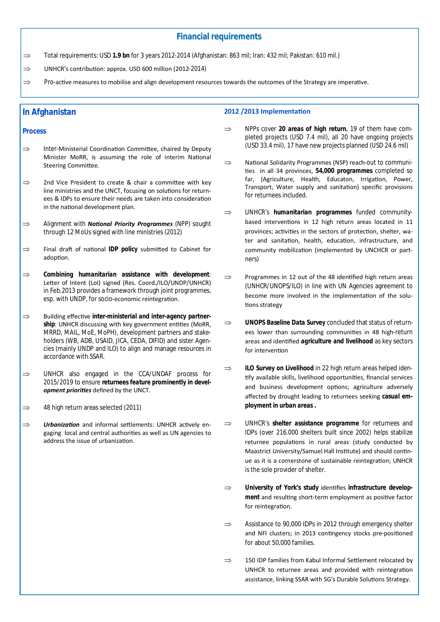## **Financial requirements**

Total requirements: USD **1.9 bn** for 3 years 2012-2014 (Afghanistan: 863 mil; Iran: 432 mil; Pakistan: 610 mil.)

 $\Rightarrow$  UNHCR's contribution: approx. USD 600 million (2012-2014)

 $\Rightarrow$  Pro-active measures to mobilise and align development resources towards the outcomes of the Strategy are imperative.

## **In Afghanistan**

#### **Process**

- $\Rightarrow$  Inter-Ministerial Coordination Committee, chaired by Deputy Minister MoRR, is assuming the role of interim National Steering Committee.
- $\Rightarrow$  2nd Vice President to create & chair a committee with key line ministries and the UNCT, focusing on solutions for returnees & IDPs to ensure their needs are taken into consideration in the national development plan.
- ⇒ Alignment with **National Priority Programmes** (NPP) sought through 12 MoUs signed with line ministries (2012)
- $\Rightarrow$  Final draft of national **IDP policy** submitted to Cabinet for adoption.
- *Combining humanitarian assistance with development*: Letter of Intent (LoI) signed (Res. Coord./ILO/UNDP/UNHCR) in Feb.2013 provides a framework through joint programmes, esp. with UNDP, for socio-economic reintegration.
- ⇒ Building effective *inter-ministerial and inter-agency partner*ship: UNHCR discussing with key government entities (MoRR, MRRD, MAIL, MoE, MoPH), development partners and stakeholders (WB, ADB, USAID, JICA, CEDA, DIFID) and sister Agencies (mainly UNDP and ILO) to align and manage resources in accordance with SSAR.
- $\Rightarrow$  UNHCR also engaged in the CCA/UNDAF process for 2015/2019 to ensure *returnees feature prominently in devel***opment priorities** defined by the UNCT.
- $\Rightarrow$  48 high return areas selected (2011)
- $\Rightarrow$  **Urbanization** and informal settlements: UNHCR actively engaging local and central authorities as well as UN agencies to address the issue of urbanization.

#### **2012 /2013 ImplementaƟon**

- ⇒ NPPs cover 20 areas of high return, 19 of them have completed projects (USD 7.4 mil), all 20 have ongoing projects (USD 33.4 mil), 17 have new projects planned (USD 24.6 mil)
- $\implies$  National Solidarity Programmes (NSP) reach-out to communities in all 34 provinces, 54,000 programmes completed so far, (Agriculture, Health, Educaton, Irrigation, Power, Transport, Water supply and sanitation) specific provisions for returnees included.
- UNHCR's *humanitarian programmes* funded communitybased interventions in 12 high return areas located in 11 provinces; activities in the sectors of protection, shelter, water and sanitation, health, education, infrastructure, and community mobilization (implemented by UNCHCR or partners)
- $\Rightarrow$  Programmes in 12 out of the 48 identified high return areas (UNHCR/UNOPS/ILO) in line with UN Agencies agreement to become more involved in the implementation of the solutions strategy
- $\Rightarrow$  **UNOPS Baseline Data Survey** concluded that status of returnees lower than surrounding communities in 48 high-return areas and identified *agriculture and livelihood* as key sectors for intervention
- $\Rightarrow$  **ILO Survey on Livelihood** in 22 high return areas helped identify available skills, livelihood opportunities, financial services and business development options; agriculture adversely affected by drought leading to returnees seeking *casual employment in urban areas .*
- UNHCR's *shelter assistance programme* for returnees and IDPs (over 216.000 shelters built since 2002) helps stabilize returnee populations in rural areas (study conducted by Maastrict University/Samuel Hall Institute) and should continue as it is a cornerstone of sustainable reintegration; UNHCR is the sole provider of shelter.
- $\implies$  University of York's study identifies *infrastructure development* and resulting short-term employment as positive factor for reintegration.
- $\Rightarrow$  Assistance to 90,000 IDPs in 2012 through emergency shelter and NFI clusters; in 2013 contingency stocks pre-positioned for about 50,000 families.
- $\Rightarrow$  150 IDP families from Kabul Informal Settlement relocated by UNHCR to returnee areas and provided with reintegration assistance, linking SSAR with SG's Durable Solutions Strategy.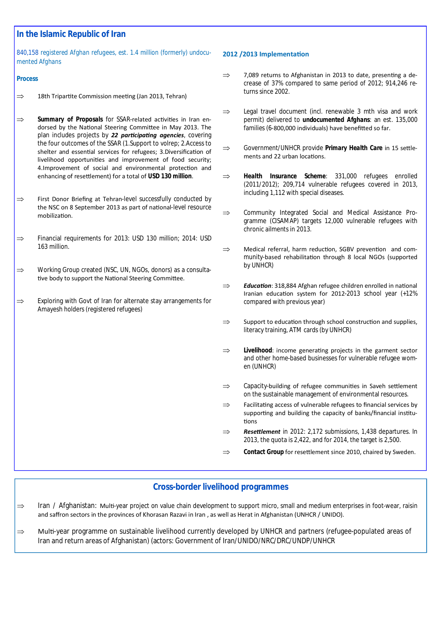# **In the Islamic Republic of Iran**

### *840,158 registered Afghan refugees, est. 1.4 million (formerly) undocumented Afghans*

### **Process**

- $\Rightarrow$  18th Tripartite Commission meeting (Jan 2013, Tehran)
- $\Rightarrow$  **Summary of Proposals** for SSAR-related activities in Iran endorsed by the National Steering Committee in May 2013. The plan includes projects by 22 participating agencies, covering the four outcomes of the SSAR (1.Support to volrep; 2.Access to shelter and essential services for refugees; 3.Diversification of livelihood opportunities and improvement of food security: 4.Improvement of social and environmental protection and enhancing of reseƩlement) for a total of *USD 130 million*.
- $\Rightarrow$  First Donor Briefing at Tehran-level successfully conducted by the NSC on 8 September 2013 as part of national-level resource mobilization.
- $\Rightarrow$  Financial requirements for 2013: USD 130 million; 2014: USD 163 million.
- $\Rightarrow$  Working Group created (NSC, UN, NGOs, donors) as a consultative body to support the National Steering Committee.
- $\Rightarrow$  Exploring with Govt of Iran for alternate stay arrangements for Amayesh holders (registered refugees)

### **2012 /2013 ImplementaƟon**

- $\Rightarrow$  7,089 returns to Afghanistan in 2013 to date, presenting a decrease of 37% compared to same period of 2012; 914,246 returns since 2002.
- $\Rightarrow$  Legal travel document (incl. renewable 3 mth visa and work permit) delivered to *undocumented Afghans*: an est. 135,000 families (6-800,000 individuals) have benefitted so far.
- $\implies$  Government/UNHCR provide *Primary Health Care* in 15 settlements and 22 urban locations.
- ⇒ **Health Insurance Scheme**: 331,000 refugees enrolled (2011/2012); 209,714 vulnerable refugees covered in 2013, including 1,112 with special diseases.
- $\Rightarrow$  Community Integrated Social and Medical Assistance Programme (CISAMAP) targets 12,000 vulnerable refugees with chronic ailments in 2013.
- $\Rightarrow$  Medical referral, harm reduction, SGBV prevention and community-based rehabilitation through 8 local NGOs (supported by UNHCR)
- $\Rightarrow$  **Education**: 318,884 Afghan refugee children enrolled in national Iranian education system for 2012-2013 school year (+12% compared with previous year)
- $\Rightarrow$  Support to education through school construction and supplies, literacy training, ATM cards (by UNHCR)
- $\Rightarrow$  **Livelihood**: income generating projects in the garment sector and other home-based businesses for vulnerable refugee women (UNHCR)
- $\Rightarrow$  Capacity-building of refugee communities in Saveh settlement on the sustainable management of environmental resources.
- $\Rightarrow$  Facilitating access of vulnerable refugees to financial services by supporting and building the capacity of banks/financial institutions
- $\Rightarrow$  **Resettlement** in 2012: 2,172 submissions, 1,438 departures. In 2013, the quota is 2,422, and for 2014, the target is 2,500.
- $\Rightarrow$  **Contact Group** for resettlement since 2010, chaired by Sweden.

## **Cross-border livelihood programmes**

- $\Rightarrow$  Iran / Afghanistan: Multi-year project on value chain development to support micro, small and medium enterprises in foot-wear, raisin and saffron sectors in the provinces of Khorasan Razavi in Iran , as well as Herat in Afghanistan (UNHCR / UNIDO).
- $\Rightarrow$  Multi-year programme on sustainable livelihood currently developed by UNHCR and partners (refugee-populated areas of Iran and return areas of Afghanistan) (actors: Government of Iran/UNIDO/NRC/DRC/UNDP/UNHCR